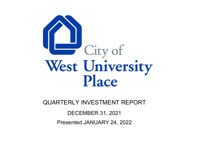

QUARTERLY INVESTMENT REPORT DECEMBER 31, 2021 Presented JANUARY 24, 2022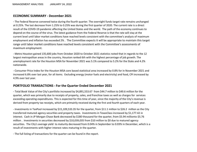# **ECONOMIC SUMMARY - December 2021**

- The Federal Reserve convened twice during the fourth quarter. The overnight funds target rate remains unchanged at 0.25%. The last decrease from 1.25% to 0.25% was during the first quarter of 2020. The current rate is a direct result of the COVID-19 pandemic affecting the United States and the world. The path of the economy continues to depend on the course of the virus. The latest guidance from the Federal Reserve is that the rate will stay at the current level until labor market conditions have reached levels consistent with the committee's analysis of maximum employment and inflation has exceeded 2% . The Committee expects it will be appropriate to maintain this target range until labor market conditions have reached levels consistent with the Committee's assessments of maximum employment.

- Metro Houston gained 135,600 jobs from October 2020 to October 2021 statistics noted that in regards to the 12 largest metropolitan areas in the country, Houston ranked 6th with the highest percentage of job growth. The unemployment rate for the Houston MSA for November 2021 was 5.1% compared to 5.2% for the State and 4.2% nationwide.

- Consumer Price Index for the Houston MSA core based statistical area increased by 0.8% for in November 2021 and increased 6.8% over last year, for all items. Excluding energy (motor fuels and electricity) and food, CPI increased by 4.9% over last year.

## **PORTFOLIO TRANSACTIONS - For the Quarter Ended December 2021**

- Total Book Value of the City's portfolio increased by \$4,891,553.67 from \$44.7 million to \$49.6 million for the quarter, which was primarily due to receipts of property, sales, and franchise taxes as well as charges for services exceeding operating expenditures. This is expected for this time of year, since the majority of the City's revenue is derived from property tax receipts, which are primairily received during the first and fourth quarters of each year.

- Investments in TexPool increased by \$15,109,533.35 for the quarter, from \$11.1 million to \$26.2 million as the City transferred matured agency securities and property taxes. Investments in TexasClass increased by \$1,177.42 in interest. Cash in JP Morgan Chase Bank decreased by \$180 thousand for the quarter, from \$5.94 millionto \$5.76 million . Investments in securities decreased by \$10,039,035 from \$10 million to \$0 due to matured agency securities. The City's average yield to maturity decreased from 0.04% in September to 0.03% in December, which is a result of investments with higher interest rates maturing in the quarter.

- The full listing of transactions for the quarter can be found in the report.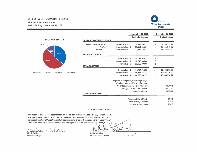## **CITY OF WEST UNIVERSITY PLACE**

Monthly Investment Report Period Ending: December 31, 2021



**December 31, 2021** 

**September 30, 2021** 

|                                                                    |                                  |                                          | <b>SCAFELINGL SALESPIEL</b>        | DECENINEL 3T' CATT    |
|--------------------------------------------------------------------|----------------------------------|------------------------------------------|------------------------------------|-----------------------|
|                                                                    |                                  |                                          | <b>Beginning Balance</b>           | <b>Ending Balance</b> |
| <b>SECURITY SECTOR</b>                                             | <b>CASH AND INVESTMENT POOLS</b> |                                          |                                    |                       |
| 11.60%                                                             | JPMorgan Chase Bank *            | Market Value \$                          | 5,936,897.25                       | \$<br>5,756,775.33    |
|                                                                    | <b>TexPool</b>                   | <b>Market Value</b><br>Ŝ.                | 11,101,616.37                      | \$<br>26,211,149.72   |
| $0.00\%$                                                           | <b>Texas CLASS</b>               | Market Value<br>- \$                     | 17,637,167.75                      | \$<br>17,638,345.17   |
| 35.56%                                                             | <b>AGENCY SECURITIES</b>         |                                          |                                    |                       |
|                                                                    |                                  | Book Value \$                            | 10,039,035.18                      | \$                    |
| 52.84%                                                             |                                  | <b>Market Value</b><br>Ŝ.                | 10,048,000.00                      | \$                    |
|                                                                    |                                  | Par Value \$                             | 10,000,000.00                      | \$                    |
|                                                                    | <b>TOTAL PORTFOLIO</b>           |                                          |                                    |                       |
|                                                                    |                                  | Book Value \$                            | 44,714,716.55                      | \$<br>49,606,270.22   |
| · JPMorgan<br>- TexasClass<br><b>- TexPool</b><br><b>US Agency</b> |                                  | <b>Market Value</b><br>Ŝ.                | 44,723,681.37                      | \$<br>49,606,270.22   |
|                                                                    |                                  | Par Value \$                             | 44,675,681.37                      | \$<br>49,606,270.22   |
|                                                                    |                                  | Weighted Average Call/Maturity (in days) |                                    | 1                     |
|                                                                    |                                  | Weighted Average Maturity (in days)      |                                    |                       |
|                                                                    |                                  |                                          | Weighted Average Yield to Maturity | 0.0300%               |
|                                                                    |                                  |                                          | Earnings / Current Year to Date    | \$<br>29,513.60       |
|                                                                    |                                  |                                          | <b>Accrued Interest</b>            | \$<br>1,376.86        |
|                                                                    | <b>COMPARATIVE YIELDS</b>        |                                          |                                    |                       |
|                                                                    |                                  |                                          | Treasury Bill / 3 Month            | 0.06%                 |
|                                                                    |                                  |                                          | Treasury Bill / 6 Month            | 0.15%                 |
|                                                                    |                                  |                                          | Treasury Note / 1 Year             | 0.30%                 |
|                                                                    |                                  |                                          |                                    |                       |

### **\* Bank Statement Balance**

**This report is presented in accordance with the Texas Government Code Title 10 / Section 2256.023. The below signed hereby certify that, to the best of their knowledge on the date this report was**  generated, the City of West University Place is in compliance with the provisions of Government Code 2256 and with the stated policies and strategies of the City of West University Place.<br>Plant **All**er

 $f(x_0)$ <br>Neelie Walker<br>Neelie Walker (2000)<br>Darla Steubing **Darla Steubing** 

**Finance Manager** 

**Fiscal Services Officer**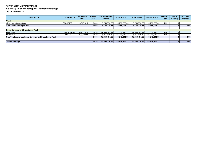### **City of West University Place Quarterly Investment Report - Portfolio Holdings As of 12/31/2021**

| <b>Description</b>                                   | <b>CUSIP/Ticker</b> | <b>Settlement</b> | YTM $\omega$ | Face Amount/  | <b>Cost Value</b> | <b>Book Value</b> | <b>Market Value</b> | <b>Maturity</b> | Days To         | <b>Accrued</b>  |
|------------------------------------------------------|---------------------|-------------------|--------------|---------------|-------------------|-------------------|---------------------|-----------------|-----------------|-----------------|
|                                                      |                     | <b>Date</b>       | Cost         | <b>Shares</b> |                   |                   |                     | <b>Date</b>     | <b>Maturity</b> | <b>Interest</b> |
| Cash                                                 |                     |                   |              |               |                   |                   |                     |                 |                 |                 |
| JPMorgan Chase Cash                                  | <b>CASH8159</b>     | 12/31/2015        | 0.000        | 5,756,775.33  | 5,756,775.33      | 5,756,775.33      | 5,756,775.33        | N/A             |                 |                 |
| Sub Total / Average Cash                             |                     |                   | 0.000        | 5,756,775.33  | 5,756,775.33      | 5,756,775.33      | 5,756,775.33        |                 |                 | 0.00            |
|                                                      |                     |                   |              |               |                   |                   |                     |                 |                 |                 |
| <b>Local Government Investment Pool</b>              |                     |                   |              |               |                   |                   |                     |                 |                 |                 |
| <b>LGIP LGIP</b>                                     | <b>TEXASCLASS</b>   | 10/26/2020        | 0.026        | 17.638.345.17 | 17.638.345.17     | 17.638.345.17     | 17.638.345.17       | N/A             |                 |                 |
| <b>LGIP LGIP</b>                                     | <b>TEXPOOL</b>      | 9/30/2008         | 0.040        | 26,211,149.72 | 26,211,149.72     | 26,211,149.72     | 26,211,149.72       | N/A             |                 |                 |
| Sub Total / Average Local Government Investment Pool |                     |                   | 0.000        | 43.849.494.89 | 43.849.494.89     | 43.849.494.89     | 43.849.494.89       |                 |                 | 0.00            |
|                                                      |                     |                   |              |               |                   |                   |                     |                 |                 |                 |
| Total / Average                                      |                     |                   | 0.030        | 49.606.270.22 | 49.606.270.22     | 49,606,270.22     | 49.606.270.22       |                 |                 | 0.00            |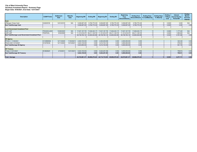#### **City of West University Place Quarterly Investment Report - Summary Page Begin Date: 9/30/2021, End Date: 12/31/2021**

| <b>Description</b>                                 | <b>CUSIP/Ticker</b> | <b>Settlement</b><br>Date | <b>Maturity</b><br>Date | <b>Beginning MV</b> | <b>Ending MV</b> | <b>Beginning BV</b> | <b>Ending BV</b>            | <b>Beginning</b><br>Face<br><b>Amount/Shares</b> | <b>Ending Face</b><br>Amount/Shares   To Call/Maturity | <b>Ending Days</b> | <b>Ending Days</b><br><b>To Maturity</b> | Ending<br>YTM@<br>Cost | Interest<br><b>Earned During</b><br>Period-BV | <b>Ending</b><br><b>Market</b><br><b>Accrued</b><br>Interest |
|----------------------------------------------------|---------------------|---------------------------|-------------------------|---------------------|------------------|---------------------|-----------------------------|--------------------------------------------------|--------------------------------------------------------|--------------------|------------------------------------------|------------------------|-----------------------------------------------|--------------------------------------------------------------|
| Cash                                               |                     |                           |                         |                     |                  |                     |                             |                                                  |                                                        |                    |                                          |                        |                                               |                                                              |
| JPMorgan Chase Cash                                | <b>CASH8159</b>     | 12/31/2015                | N/A                     | 5,936,897.25        | 5,756,775.33     | 5,936,897.25        | 5,756,775.33                | 5,936,897.25                                     | 5,756,775.33                                           |                    |                                          | 0.000                  | 0.00                                          | N/A                                                          |
| Sub Total/Average Cash                             |                     |                           |                         | 5,936,897.25        | 5,756,775.33     | 5,936,897.25        | 5,756,775.33                | 5,936,897.25                                     | 5,756,775.33                                           |                    |                                          | 0.000                  | 0.00                                          | 0.00                                                         |
|                                                    |                     |                           |                         |                     |                  |                     |                             |                                                  |                                                        |                    |                                          |                        |                                               |                                                              |
| <b>Local Government Investment Pool</b>            |                     |                           |                         |                     |                  |                     |                             |                                                  |                                                        |                    |                                          |                        |                                               |                                                              |
| <b>LGIP LGIP</b>                                   | <b>TEXASCLASS</b>   | 10/26/2020                | N/A                     | 17,637,167.75       | 17,638,345.17    | 17,637,167.75       | 17,638,345.17               | 17,637,167.75                                    | 17,638,345.17                                          |                    |                                          | 0.026                  | 1,177.42                                      | N/A                                                          |
| <b>LGIP LGIP</b>                                   | <b>TEXPOOL</b>      | 9/30/2008                 | N/A                     | 11,101,616.37       | 26,211,149.72    | 11,101,616.37       | 26,211,149.72               | 11,101,616.37                                    | 26,211,149.72                                          |                    |                                          | 0.040                  | 1,583.64                                      | N/A                                                          |
| Sub Total/Average Local Government Investment Pool |                     |                           |                         | 28,738,784.12       | 43,849,494.89    | 28,738,784.12       | 43,849,494.89               | 28,738,784.12                                    | 43,849,494.89                                          |                    |                                          | 0.034                  | 2,761.06                                      | 0.00                                                         |
|                                                    |                     |                           |                         |                     |                  |                     |                             |                                                  |                                                        |                    |                                          |                        |                                               |                                                              |
| <b>US Agency</b>                                   |                     |                           |                         |                     |                  |                     |                             |                                                  |                                                        |                    |                                          |                        |                                               |                                                              |
| FFCB 0.1 11/30/2021                                | 3133EMHS4           | 12/11/2020                | 11/30/2021              | 2,000,720.00        | 0.00             | 2,000,009.99        | 0.00                        | 2,000,000.00                                     | 0.00                                                   |                    |                                          |                        | 323.34                                        | 0.00                                                         |
| FHLB 2.625 12/10/2021                              | 313376C94           | 12/11/2020                | 12/10/2021              | 3,023,130.00        | 0.00             | 3,014,734.10        | 0.00                        | 3,000,000.00                                     | 0.00                                                   |                    |                                          |                        | 578.40                                        | 0.00                                                         |
| Sub Total/Average US Agency                        |                     |                           |                         | 5,023,850.00        | 0.00             | 5,014,744.09        | 0.00                        | 5,000,000.00                                     | 0.00                                                   |                    |                                          |                        | 901.74                                        | 0.00                                                         |
|                                                    |                     |                           |                         |                     |                  |                     |                             |                                                  |                                                        |                    |                                          |                        |                                               |                                                              |
| <b>US Treasury</b>                                 |                     |                           |                         |                     |                  |                     |                             |                                                  |                                                        |                    |                                          |                        |                                               |                                                              |
| T-Note 2 12/31/2021                                | 912828U81           | 2/10/2021                 | 12/31/2021              | 5,024,150.00        | 0.00             | 5,024,291.09        | 0.00                        | 5,000,000.00                                     | 0.00                                                   |                    |                                          |                        | 708.91                                        | 0.00                                                         |
| Sub Total/Average US Treasury                      |                     |                           |                         | 5,024,150.00        | 0.00             | 5,024,291.09        | 0.00                        | 5,000,000.00                                     | 0.00                                                   |                    |                                          |                        | 708.91                                        | 0.00                                                         |
|                                                    |                     |                           |                         |                     |                  |                     |                             |                                                  |                                                        |                    |                                          |                        |                                               |                                                              |
| <b>Total / Average</b>                             |                     |                           |                         | 44,723,681.37       | 49,606,270.22    |                     | 44,714,716.55 49,606,270.22 | 44,675,681.37                                    | 49,606,270.22                                          |                    |                                          | 0.030                  | 4,371.71                                      | 0.00                                                         |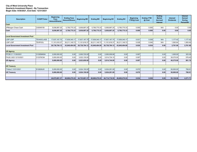### **City of West University Place Quarterly Investment Report - By Transaction Begin Date: 9/30/2021, End Date: 12/31/2021**

| <b>Description</b>                      | <b>CUSIP/Ticker</b> | <b>Beginning</b><br>Face<br>Amount/Shares | <b>Ending Face</b><br><b>Amount/Shares</b> | <b>Beginning MV</b> | <b>Ending MV</b> | <b>Beginning BV</b> | <b>Ending BV</b> | <b>Beginning</b><br>YTM @ Cost | <b>Ending YTM</b><br>@ Cost | <b>Ending</b><br><b>Market</b><br><b>Accrued</b><br><b>Interest</b> | Interest/<br><b>Dividends</b> | <b>Interest</b><br><b>Earned</b><br><b>During</b><br>Period-BV |
|-----------------------------------------|---------------------|-------------------------------------------|--------------------------------------------|---------------------|------------------|---------------------|------------------|--------------------------------|-----------------------------|---------------------------------------------------------------------|-------------------------------|----------------------------------------------------------------|
| Cash                                    |                     |                                           |                                            |                     |                  |                     |                  |                                |                             |                                                                     |                               |                                                                |
| JPMorgan Chase Cash                     | <b>CASH8159</b>     | 5,936,897.25                              | 5,756,775.33                               | 5,936,897.25        | 5,756,775.33     | 5,936,897.25        | 5,756,775.33     | 0.000                          | 0.000                       | N/A                                                                 | 0.00                          | 0.00                                                           |
| Cash                                    |                     | 5,936,897.25                              | 5,756,775.33                               | 5,936,897.25        | 5,756,775.33     | 5,936,897.25        | 5,756,775.33     | 0.000                          | 0.000                       | 0.00                                                                | 0.00                          | 0.00                                                           |
|                                         |                     |                                           |                                            |                     |                  |                     |                  |                                |                             |                                                                     |                               |                                                                |
| <b>Local Government Investment Pool</b> |                     |                                           |                                            |                     |                  |                     |                  |                                |                             |                                                                     |                               |                                                                |
| <b>LGIP LGIP</b>                        | <b>TEXASCLASS</b>   | 17,637,167.75                             | 17,638,345.17                              | 17,637,167.75       | 17,638,345.17    | 17,637,167.75       | 17,638,345.17    | 0.021                          | 0.026                       | N/A                                                                 | 1,177.42                      | 1,177.42                                                       |
| <b>LGIP LGIP</b>                        | <b>TEXPOOL</b>      | 11,101,616.37                             | 26,211,149.72                              | 11,101,616.37       | 26,211,149.72    | 11,101,616.37       | 26,211,149.72    | 0.028                          | 0.040                       | N/A                                                                 | 1,583.64                      | 1,583.64                                                       |
| <b>Local Government Investment Pool</b> |                     | 28,738,784.12                             | 43,849,494.89                              | 28,738,784.12       | 43,849,494.89    | 28,738,784.12       | 43,849,494.89    | 0.024                          | 0.034                       | 0.00                                                                | 2,761.06                      | 2,761.06                                                       |
|                                         |                     |                                           |                                            |                     |                  |                     |                  |                                |                             |                                                                     |                               |                                                                |
| <b>US Agency</b>                        |                     |                                           |                                            |                     |                  |                     |                  |                                |                             |                                                                     |                               |                                                                |
| FFCB 0.1 11/30/2021                     | 3133EMHS4           | 2,000,000.00                              | 0.00                                       | 2,000,720.00        | 0.00             | 2,000,009.99        | 0.00             | 0.097                          |                             | 0.00                                                                | 1,000.00                      | 323.34                                                         |
| FHLB 2.625 12/10/2021                   | 313376C94           | 3,000,000.00                              | 0.00                                       | 3,023,130.00        | 0.00             | 3,014,734.10        | 0.00             | 0.097                          |                             | 0.00                                                                | 39,375.00                     | 578.40                                                         |
| <b>US Agency</b>                        |                     | 5,000,000.00                              | 0.00                                       | 5,023,850.00        | 0.00             | 5,014,744.09        | 0.00             | 0.097                          |                             | 0.00                                                                | 40,375.00                     | 901.74                                                         |
|                                         |                     |                                           |                                            |                     |                  |                     |                  |                                |                             |                                                                     |                               |                                                                |
| <b>US Treasury</b>                      |                     |                                           |                                            |                     |                  |                     |                  |                                |                             |                                                                     |                               |                                                                |
| T-Note 2 12/31/2021                     | 912828U81           | 5,000,000.00                              | 0.00                                       | 5,024,150.00        | 0.00             | 5,024,291.09        | 0.00             | 0.070                          |                             | 0.00                                                                | 50,000.00                     | 708.91                                                         |
| <b>US Treasury</b>                      |                     | 5.000.000.00                              | 0.00                                       | 5,024,150.00        | 0.00             | 5,024,291.09        | 0.00             | 0.070                          |                             | 0.00                                                                | 50,000.00                     | 708.91                                                         |
|                                         |                     |                                           |                                            |                     |                  |                     |                  |                                |                             |                                                                     |                               |                                                                |
|                                         |                     | 44,675,681.37                             | 49,606,270.22                              | 44,723,681.37       | 49,606,270.22    | 44,714,716.55       | 49,606,270.22    | 0.034                          | 0.030                       | 0.00                                                                | 93,136.06                     | 4,371.71                                                       |